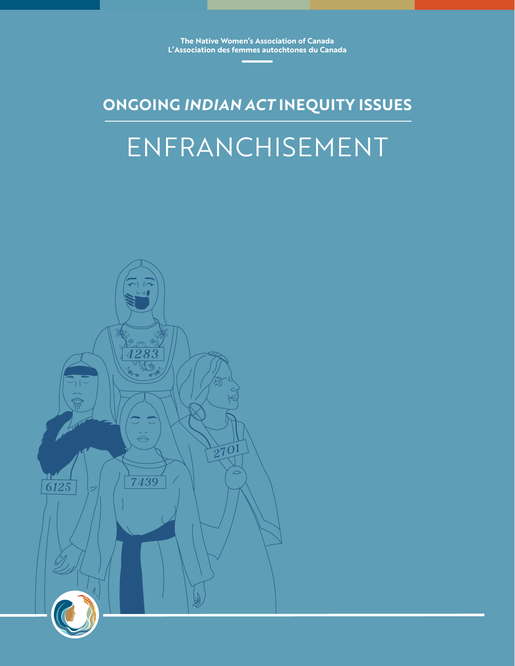**The Native Women's Association of Canada L'Association des femmes autochtones du Canada**

### **ONGOING** *INDIAN ACT* **INEQUITY ISSUES**

## ENFRANCHISEMENT

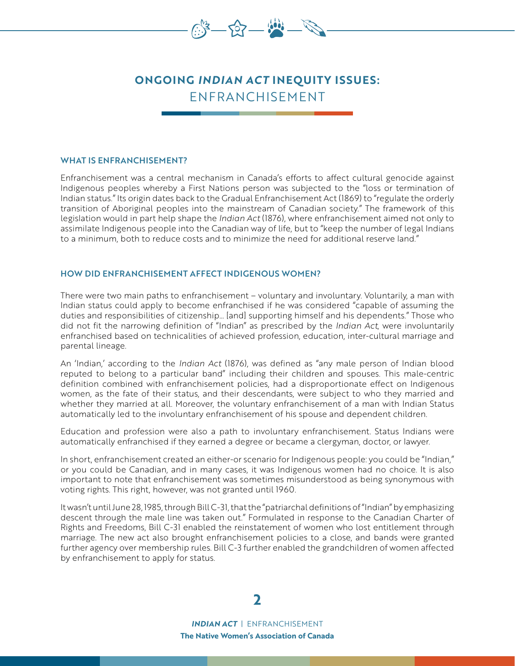

### **ONGOING** *INDIAN ACT* **INEQUITY ISSUES:** ENFRANCHISEMENT

### WHAT IS ENFRANCHISEMENT?

Enfranchisement was a central mechanism in Canada's efforts to affect cultural genocide against Indigenous peoples whereby a First Nations person was subjected to the "loss or termination of Indian status." Its origin dates back to the Gradual Enfranchisement Act (1869) to "regulate the orderly transition of Aboriginal peoples into the mainstream of Canadian society." The framework of this legislation would in part help shape the *Indian Act* (1876), where enfranchisement aimed not only to assimilate Indigenous people into the Canadian way of life, but to "keep the number of legal Indians to a minimum, both to reduce costs and to minimize the need for additional reserve land."

### HOW DID ENFRANCHISEMENT AFFECT INDIGENOUS WOMEN?

There were two main paths to enfranchisement – voluntary and involuntary. Voluntarily, a man with Indian status could apply to become enfranchised if he was considered "capable of assuming the duties and responsibilities of citizenship… [and] supporting himself and his dependents." Those who did not fit the narrowing definition of "Indian" as prescribed by the *Indian Act*, were involuntarily enfranchised based on technicalities of achieved profession, education, inter-cultural marriage and parental lineage.

An 'Indian,' according to the *Indian Act* (1876), was defined as "any male person of Indian blood reputed to belong to a particular band" including their children and spouses. This male-centric definition combined with enfranchisement policies, had a disproportionate effect on Indigenous women, as the fate of their status, and their descendants, were subject to who they married and whether they married at all. Moreover, the voluntary enfranchisement of a man with Indian Status automatically led to the involuntary enfranchisement of his spouse and dependent children.

Education and profession were also a path to involuntary enfranchisement. Status Indians were automatically enfranchised if they earned a degree or became a clergyman, doctor, or lawyer.

In short, enfranchisement created an either-or scenario for Indigenous people: you could be "Indian," or you could be Canadian, and in many cases, it was Indigenous women had no choice. It is also important to note that enfranchisement was sometimes misunderstood as being synonymous with voting rights. This right, however, was not granted until 1960.

It wasn't until June 28, 1985, through Bill C-31, that the "patriarchal definitions of "Indian" by emphasizing descent through the male line was taken out." Formulated in response to the Canadian Charter of Rights and Freedoms, Bill C-31 enabled the reinstatement of women who lost entitlement through marriage. The new act also brought enfranchisement policies to a close, and bands were granted further agency over membership rules. Bill C-3 further enabled the grandchildren of women affected by enfranchisement to apply for status.

**2**

*INDIAN ACT* | ENFRANCHISEMENT **The Native Women's Association of Canada**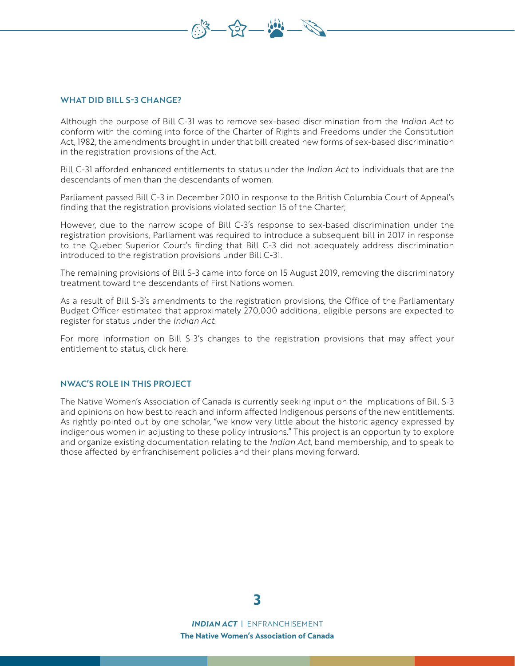### WHAT DID BILL S-3 CHANGE?

Although the purpose of Bill C-31 was to remove sex-based discrimination from the *Indian Act* to conform with the coming into force of the Charter of Rights and Freedoms under the Constitution Act, 1982, the amendments brought in under that bill created new forms of sex-based discrimination in the registration provisions of the Act.

 $-52 - 90$ 

Bill C-31 afforded enhanced entitlements to status under the *Indian Act* to individuals that are the descendants of men than the descendants of women.

Parliament passed Bill C-3 in December 2010 in response to the British Columbia Court of Appeal's finding that the registration provisions violated section 15 of the Charter;

However, due to the narrow scope of Bill C-3's response to sex-based discrimination under the registration provisions, Parliament was required to introduce a subsequent bill in 2017 in response to the Quebec Superior Court's finding that Bill C-3 did not adequately address discrimination introduced to the registration provisions under Bill C-31.

The remaining provisions of Bill S-3 came into force on 15 August 2019, removing the discriminatory treatment toward the descendants of First Nations women.

As a result of Bill S-3's amendments to the registration provisions, the Office of the Parliamentary Budget Officer estimated that approximately 270,000 additional eligible persons are expected to register for status under the *Indian Act*.

For more information on Bill S-3's changes to the registration provisions that may affect your entitlement to status, click here.

#### NWAC'S ROLE IN THIS PROJECT

The Native Women's Association of Canada is currently seeking input on the implications of Bill S-3 and opinions on how best to reach and inform affected Indigenous persons of the new entitlements. As rightly pointed out by one scholar, "we know very little about the historic agency expressed by indigenous women in adjusting to these policy intrusions." This project is an opportunity to explore and organize existing documentation relating to the *Indian Act*, band membership, and to speak to those affected by enfranchisement policies and their plans moving forward.



*INDIAN ACT* | ENFRANCHISEMENT **The Native Women's Association of Canada**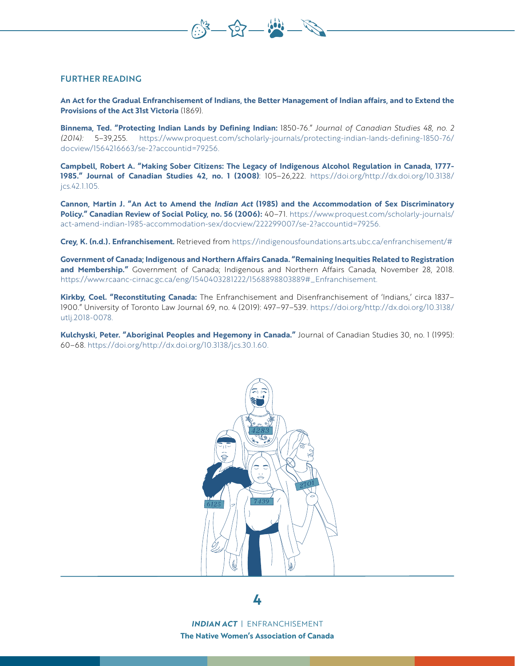### FURTHER READING

**An Act for the Gradual Enfranchisement of Indians, the Better Management of Indian affairs, and to Extend the Provisions of the Act 31st Victoria** (1869).

707

**Binnema, Ted. "Protecting Indian Lands by Defining Indian:** 1850-76." *Journal of Canadian Studies 48, no. 2 (2014):* 5–39,255. https://www.proquest.com/scholarly-journals/protecting-indian-lands-defining-1850-76/ docview/1564216663/se-2?accountid=79256.

**Campbell, Robert A. "Making Sober Citizens: The Legacy of Indigenous Alcohol Regulation in Canada, 1777- 1985." Journal of Canadian Studies 42, no. 1 (2008)**: 105–26,222. https://doi.org/http://dx.doi.org/10.3138/ jcs.42.1.105.

**Cannon, Martin J. "An Act to Amend the** *Indian Act* **(1985) and the Accommodation of Sex Discriminatory Policy." Canadian Review of Social Policy, no. 56 (2006):** 40–71. https://www.proquest.com/scholarly-journals/ act-amend-indian-1985-accommodation-sex/docview/222299007/se-2?accountid=79256.

**Crey, K. (n.d.). Enfranchisement.** Retrieved from https://indigenousfoundations.arts.ubc.ca/enfranchisement/#

**Government of Canada; Indigenous and Northern Affairs Canada. "Remaining Inequities Related to Registration and Membership."** Government of Canada; Indigenous and Northern Affairs Canada, November 28, 2018. https://www.rcaanc-cirnac.gc.ca/eng/1540403281222/1568898803889#\_Enfranchisement.

**Kirkby, Coel. "Reconstituting Canada:** The Enfranchisement and Disenfranchisement of 'Indians,' circa 1837– 1900." University of Toronto Law Journal 69, no. 4 (2019): 497–97–539. https://doi.org/http://dx.doi.org/10.3138/ utlj.2018-0078.

**Kulchyski, Peter. "Aboriginal Peoples and Hegemony in Canada."** Journal of Canadian Studies 30, no. 1 (1995): 60–68. https://doi.org/http://dx.doi.org/10.3138/jcs.30.1.60.



*INDIAN ACT* | ENFRANCHISEMENT **The Native Women's Association of Canada**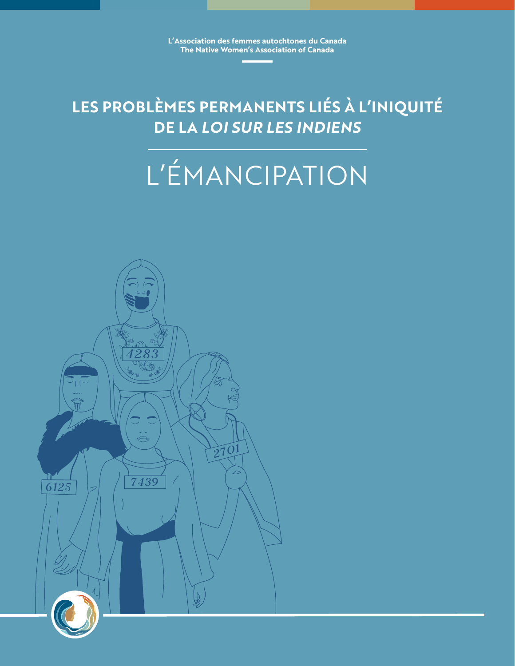**L'Association des femmes autochtones du Canada The Native Women's Association of Canada**

**LES PROBLÈMES PERMANENTS LIÉS À L'INIQUITÉ DE LA** *LOI SUR LES INDIENS*

# L'ÉMANCIPATION

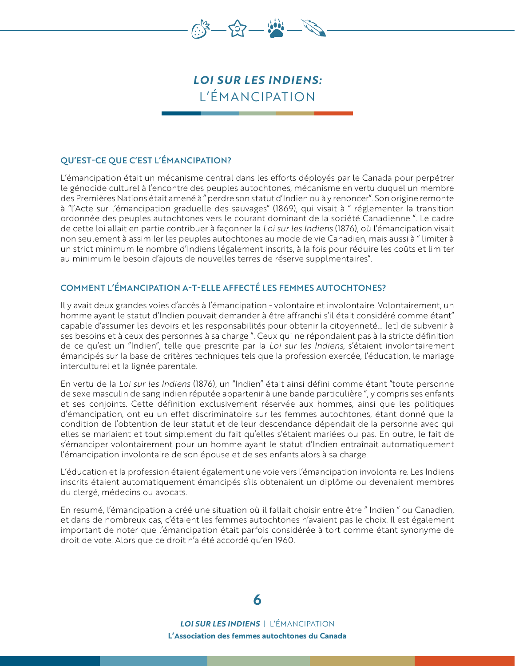

### *LOI SUR LES INDIENS:* L'ÉMANCIPATION

### QU'EST-CE QUE C'EST L'ÉMANCIPATION?

L'émancipation était un mécanisme central dans les efforts déployés par le Canada pour perpétrer le génocide culturel à l'encontre des peuples autochtones, mécanisme en vertu duquel un membre des Premières Nations était amené à " perdre son statut d'Indien ou à y renoncer". Son origine remonte à "l'Acte sur l'émancipation graduelle des sauvages" (1869), qui visait à " réglementer la transition ordonnée des peuples autochtones vers le courant dominant de la société Canadienne ". Le cadre de cette loi allait en partie contribuer à façonner la *Loi sur les Indiens* (1876), où l'émancipation visait non seulement à assimiler les peuples autochtones au mode de vie Canadien, mais aussi à " limiter à un strict minimum le nombre d'Indiens légalement inscrits, à la fois pour réduire les coûts et limiter au minimum le besoin d'ajouts de nouvelles terres de réserve supplmentaires".

### COMMENT L'ÉMANCIPATION A-T-ELLE AFFECTÉ LES FEMMES AUTOCHTONES?

Il y avait deux grandes voies d'accès à l'émancipation - volontaire et involontaire. Volontairement, un homme ayant le statut d'Indien pouvait demander à être affranchi s'il était considéré comme étant" capable d'assumer les devoirs et les responsabilités pour obtenir la citoyenneté... [et] de subvenir à ses besoins et à ceux des personnes à sa charge ". Ceux qui ne répondaient pas à la stricte définition de ce qu'est un "Indien", telle que prescrite par la *Loi sur les Indiens*, s'étaient involontairement émancipés sur la base de critères techniques tels que la profession exercée, l'éducation, le mariage interculturel et la lignée parentale.

En vertu de la *Loi sur les Indiens* (1876), un "Indien" était ainsi défini comme étant "toute personne de sexe masculin de sang indien réputée appartenir à une bande particulière ", y compris ses enfants et ses conjoints. Cette définition exclusivement réservée aux hommes, ainsi que les politiques d'émancipation, ont eu un effet discriminatoire sur les femmes autochtones, étant donné que la condition de l'obtention de leur statut et de leur descendance dépendait de la personne avec qui elles se mariaient et tout simplement du fait qu'elles s'étaient mariées ou pas. En outre, le fait de s'émanciper volontairement pour un homme ayant le statut d'Indien entraînait automatiquement l'émancipation involontaire de son épouse et de ses enfants alors à sa charge.

L'éducation et la profession étaient également une voie vers l'émancipation involontaire. Les Indiens inscrits étaient automatiquement émancipés s'ils obtenaient un diplôme ou devenaient membres du clergé, médecins ou avocats.

En resumé, l'émancipation a créé une situation où il fallait choisir entre être " Indien " ou Canadien, et dans de nombreux cas, c'étaient les femmes autochtones n'avaient pas le choix. Il est également important de noter que l'émancipation était parfois considérée à tort comme étant synonyme de droit de vote. Alors que ce droit n'a été accordé qu'en 1960.



*LOI SUR LES INDIENS* | L'ÉMANCIPATION **L'Association des femmes autochtones du Canada**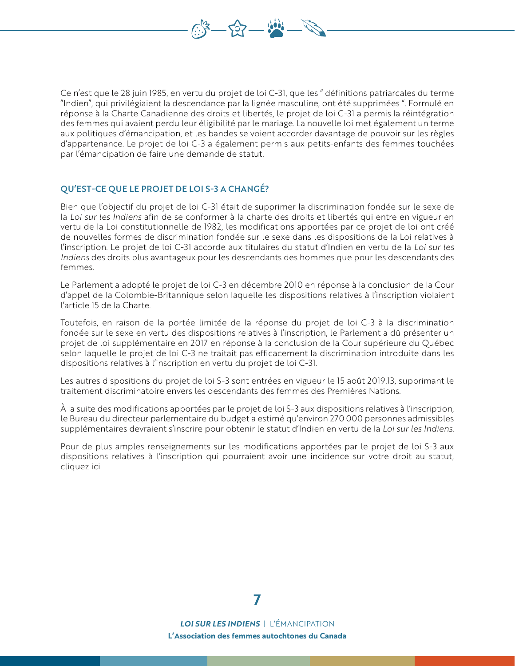Ce n'est que le 28 juin 1985, en vertu du projet de loi C-31, que les " définitions patriarcales du terme "Indien", qui privilégiaient la descendance par la lignée masculine, ont été supprimées ". Formulé en réponse à la Charte Canadienne des droits et libertés, le projet de loi C-31 a permis la réintégration des femmes qui avaient perdu leur éligibilité par le mariage. La nouvelle loi met également un terme aux politiques d'émancipation, et les bandes se voient accorder davantage de pouvoir sur les règles d'appartenance. Le projet de loi C-3 a également permis aux petits-enfants des femmes touchées par l'émancipation de faire une demande de statut.

 $507 -$ 

### QU'EST-CE QUE LE PROJET DE LOI S-3 A CHANGÉ?

Bien que l'objectif du projet de loi C-31 était de supprimer la discrimination fondée sur le sexe de la *Loi sur les Indiens* afin de se conformer à la charte des droits et libertés qui entre en vigueur en vertu de la Loi constitutionnelle de 1982, les modifications apportées par ce projet de loi ont créé de nouvelles formes de discrimination fondée sur le sexe dans les dispositions de la Loi relatives à l'inscription. Le projet de loi C-31 accorde aux titulaires du statut d'Indien en vertu de la *Loi sur les Indiens* des droits plus avantageux pour les descendants des hommes que pour les descendants des femmes.

Le Parlement a adopté le projet de loi C-3 en décembre 2010 en réponse à la conclusion de la Cour d'appel de la Colombie-Britannique selon laquelle les dispositions relatives à l'inscription violaient l'article 15 de la Charte.

Toutefois, en raison de la portée limitée de la réponse du projet de loi C-3 à la discrimination fondée sur le sexe en vertu des dispositions relatives à l'inscription, le Parlement a dû présenter un projet de loi supplémentaire en 2017 en réponse à la conclusion de la Cour supérieure du Québec selon laquelle le projet de loi C-3 ne traitait pas efficacement la discrimination introduite dans les dispositions relatives à l'inscription en vertu du projet de loi C-31.

Les autres dispositions du projet de loi S-3 sont entrées en vigueur le 15 août 2019.13, supprimant le traitement discriminatoire envers les descendants des femmes des Premières Nations.

À la suite des modifications apportées par le projet de loi S-3 aux dispositions relatives à l'inscription, le Bureau du directeur parlementaire du budget a estimé qu'environ 270 000 personnes admissibles supplémentaires devraient s'inscrire pour obtenir le statut d'Indien en vertu de la *Loi sur les Indiens*.

Pour de plus amples renseignements sur les modifications apportées par le projet de loi S-3 aux dispositions relatives à l'inscription qui pourraient avoir une incidence sur votre droit au statut, cliquez ici.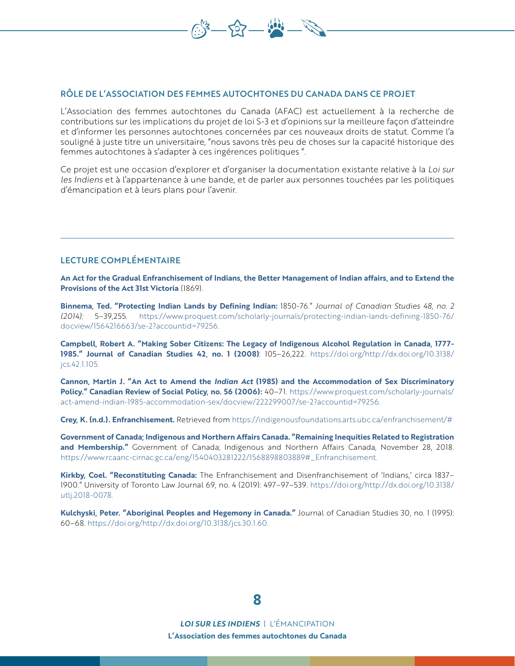

L'Association des femmes autochtones du Canada (AFAC) est actuellement à la recherche de contributions sur les implications du projet de loi S-3 et d'opinions sur la meilleure façon d'atteindre et d'informer les personnes autochtones concernées par ces nouveaux droits de statut. Comme l'a souligné à juste titre un universitaire, "nous savons très peu de choses sur la capacité historique des femmes autochtones à s'adapter à ces ingérences politiques ".

 $-52 - 90$ 

Ce projet est une occasion d'explorer et d'organiser la documentation existante relative à la *Loi sur les Indiens* et à l'appartenance à une bande, et de parler aux personnes touchées par les politiques d'émancipation et à leurs plans pour l'avenir.

### LECTURE COMPLÉMENTAIRE

**An Act for the Gradual Enfranchisement of Indians, the Better Management of Indian affairs, and to Extend the Provisions of the Act 31st Victoria** (1869).

**Binnema, Ted. "Protecting Indian Lands by Defining Indian:** 1850-76." *Journal of Canadian Studies 48, no. 2 (2014):* 5–39,255. https://www.proquest.com/scholarly-journals/protecting-indian-lands-defining-1850-76/ docview/1564216663/se-2?accountid=79256.

**Campbell, Robert A. "Making Sober Citizens: The Legacy of Indigenous Alcohol Regulation in Canada, 1777- 1985." Journal of Canadian Studies 42, no. 1 (2008)**: 105–26,222. https://doi.org/http://dx.doi.org/10.3138/ jcs.42.1.105.

**Cannon, Martin J. "An Act to Amend the** *Indian Act* **(1985) and the Accommodation of Sex Discriminatory Policy." Canadian Review of Social Policy, no. 56 (2006):** 40–71. https://www.proquest.com/scholarly-journals/ act-amend-indian-1985-accommodation-sex/docview/222299007/se-2?accountid=79256.

**Crey, K. (n.d.). Enfranchisement.** Retrieved from https://indigenousfoundations.arts.ubc.ca/enfranchisement/#

**Government of Canada; Indigenous and Northern Affairs Canada. "Remaining Inequities Related to Registration and Membership."** Government of Canada; Indigenous and Northern Affairs Canada, November 28, 2018. https://www.rcaanc-cirnac.gc.ca/eng/1540403281222/1568898803889#\_Enfranchisement.

**Kirkby, Coel. "Reconstituting Canada:** The Enfranchisement and Disenfranchisement of 'Indians,' circa 1837– 1900." University of Toronto Law Journal 69, no. 4 (2019): 497–97–539. https://doi.org/http://dx.doi.org/10.3138/ utlj.2018-0078.

**Kulchyski, Peter. "Aboriginal Peoples and Hegemony in Canada."** Journal of Canadian Studies 30, no. 1 (1995): 60–68. https://doi.org/http://dx.doi.org/10.3138/jcs.30.1.60.

### **8**

*LOI SUR LES INDIENS* | L'ÉMANCIPATION **L'Association des femmes autochtones du Canada**